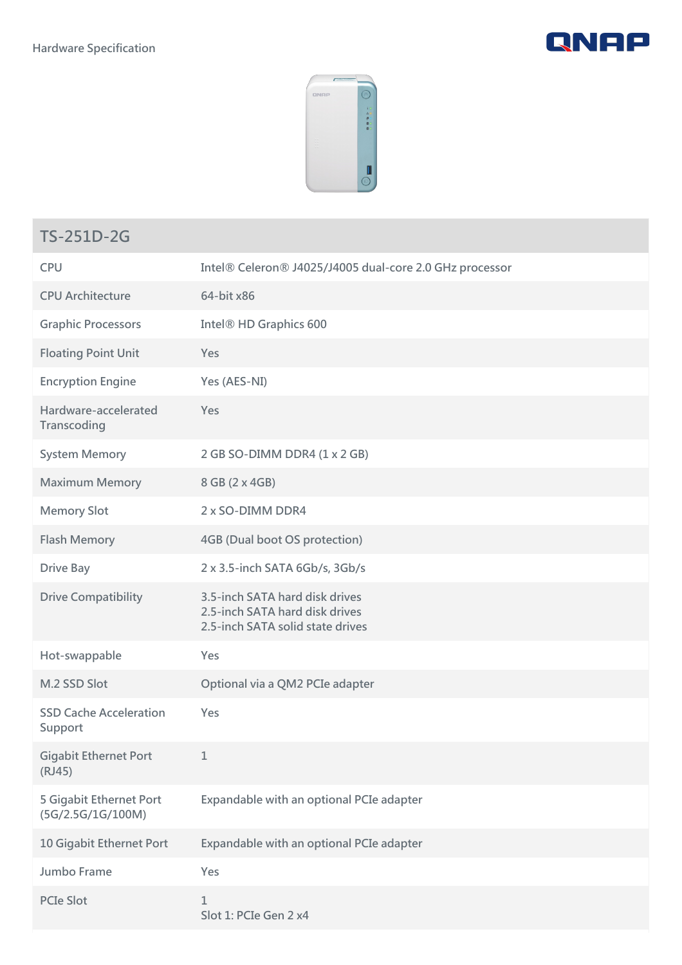



## **TS-251D-2G**

| <b>CPU</b>                                   | Intel® Celeron® J4025/J4005 dual-core 2.0 GHz processor                                              |
|----------------------------------------------|------------------------------------------------------------------------------------------------------|
| <b>CPU Architecture</b>                      | 64-bit x86                                                                                           |
| <b>Graphic Processors</b>                    | Intel <sup>®</sup> HD Graphics 600                                                                   |
| <b>Floating Point Unit</b>                   | Yes                                                                                                  |
| <b>Encryption Engine</b>                     | Yes (AES-NI)                                                                                         |
| Hardware-accelerated<br>Transcoding          | Yes                                                                                                  |
| <b>System Memory</b>                         | 2 GB SO-DIMM DDR4 (1 x 2 GB)                                                                         |
| <b>Maximum Memory</b>                        | 8 GB (2 x 4GB)                                                                                       |
| <b>Memory Slot</b>                           | 2 x SO-DIMM DDR4                                                                                     |
| <b>Flash Memory</b>                          | <b>4GB (Dual boot OS protection)</b>                                                                 |
| <b>Drive Bay</b>                             | 2 x 3.5-inch SATA 6Gb/s, 3Gb/s                                                                       |
| <b>Drive Compatibility</b>                   | 3.5-inch SATA hard disk drives<br>2.5-inch SATA hard disk drives<br>2.5-inch SATA solid state drives |
| Hot-swappable                                | Yes                                                                                                  |
| M.2 SSD Slot                                 | Optional via a QM2 PCIe adapter                                                                      |
| <b>SSD Cache Acceleration</b><br>Support     | Yes                                                                                                  |
| <b>Gigabit Ethernet Port</b><br>(RJ45)       | 1                                                                                                    |
| 5 Gigabit Ethernet Port<br>(5G/2.5G/1G/100M) | Expandable with an optional PCIe adapter                                                             |
| 10 Gigabit Ethernet Port                     | Expandable with an optional PCIe adapter                                                             |
| Jumbo Frame                                  | Yes                                                                                                  |
| <b>PCIe Slot</b>                             | 1<br>Slot 1: PCIe Gen 2 x4                                                                           |